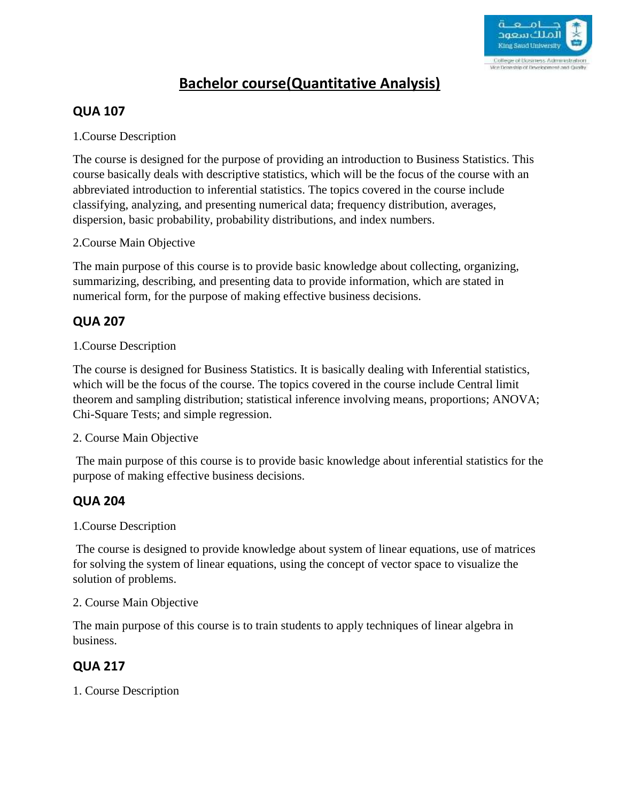

# **Bachelor course(Quantitative Analysis)**

# **QUA 107**

1.Course Description

The course is designed for the purpose of providing an introduction to Business Statistics. This course basically deals with descriptive statistics, which will be the focus of the course with an abbreviated introduction to inferential statistics. The topics covered in the course include classifying, analyzing, and presenting numerical data; frequency distribution, averages, dispersion, basic probability, probability distributions, and index numbers.

### 2.Course Main Objective

The main purpose of this course is to provide basic knowledge about collecting, organizing, summarizing, describing, and presenting data to provide information, which are stated in numerical form, for the purpose of making effective business decisions.

# **QUA 207**

## 1.Course Description

The course is designed for Business Statistics. It is basically dealing with Inferential statistics, which will be the focus of the course. The topics covered in the course include Central limit theorem and sampling distribution; statistical inference involving means, proportions; ANOVA; Chi-Square Tests; and simple regression.

### 2. Course Main Objective

The main purpose of this course is to provide basic knowledge about inferential statistics for the purpose of making effective business decisions.

# **QUA 204**

## 1.Course Description

The course is designed to provide knowledge about system of linear equations, use of matrices for solving the system of linear equations, using the concept of vector space to visualize the solution of problems.

2. Course Main Objective

The main purpose of this course is to train students to apply techniques of linear algebra in business.

# **QUA 217**

1. Course Description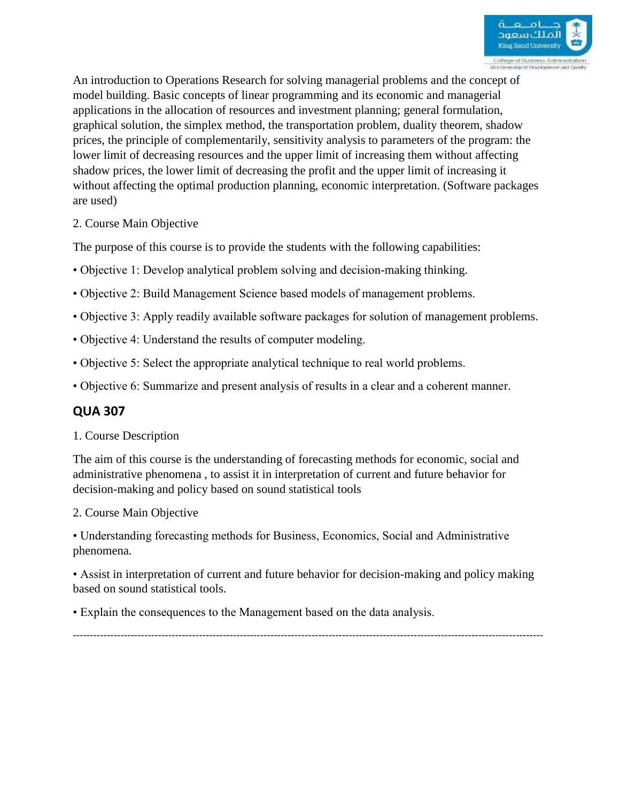

An introduction to Operations Research for solving managerial problems and the concept of model building. Basic concepts of linear programming and its economic and managerial applications in the allocation of resources and investment planning; general formulation, graphical solution, the simplex method, the transportation problem, duality theorem, shadow prices, the principle of complementarily, sensitivity analysis to parameters of the program: the lower limit of decreasing resources and the upper limit of increasing them without affecting shadow prices, the lower limit of decreasing the profit and the upper limit of increasing it without affecting the optimal production planning, economic interpretation. (Software packages are used)

2. Course Main Objective

The purpose of this course is to provide the students with the following capabilities:

- Objective 1: Develop analytical problem solving and decision-making thinking.
- Objective 2: Build Management Science based models of management problems.
- Objective 3: Apply readily available software packages for solution of management problems.
- Objective 4: Understand the results of computer modeling.
- Objective 5: Select the appropriate analytical technique to real world problems.
- Objective 6: Summarize and present analysis of results in a clear and a coherent manner.

## **QUA 307**

1. Course Description

The aim of this course is the understanding of forecasting methods for economic, social and administrative phenomena , to assist it in interpretation of current and future behavior for decision-making and policy based on sound statistical tools

2. Course Main Objective

• Understanding forecasting methods for Business, Economics, Social and Administrative phenomena.

• Assist in interpretation of current and future behavior for decision-making and policy making based on sound statistical tools.

• Explain the consequences to the Management based on the data analysis.

------------------------------------------------------------------------------------------------------------------------------------------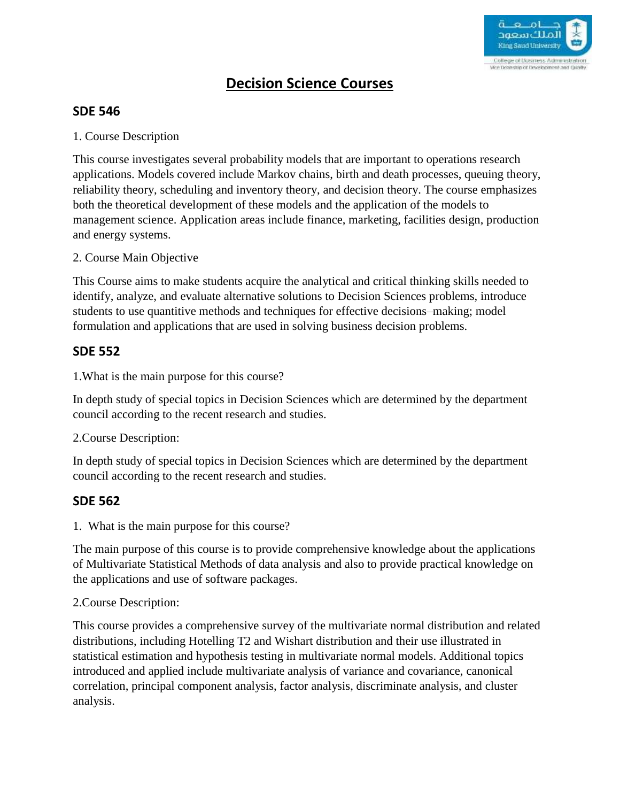

# **Decision Science Courses**

## **SDE 546**

1. Course Description

This course investigates several probability models that are important to operations research applications. Models covered include Markov chains, birth and death processes, queuing theory, reliability theory, scheduling and inventory theory, and decision theory. The course emphasizes both the theoretical development of these models and the application of the models to management science. Application areas include finance, marketing, facilities design, production and energy systems.

#### 2. Course Main Objective

This Course aims to make students acquire the analytical and critical thinking skills needed to identify, analyze, and evaluate alternative solutions to Decision Sciences problems, introduce students to use quantitive methods and techniques for effective decisions–making; model formulation and applications that are used in solving business decision problems.

### **SDE 552**

1.What is the main purpose for this course?

In depth study of special topics in Decision Sciences which are determined by the department council according to the recent research and studies.

### 2.Course Description:

In depth study of special topics in Decision Sciences which are determined by the department council according to the recent research and studies.

### **SDE 562**

1. What is the main purpose for this course?

The main purpose of this course is to provide comprehensive knowledge about the applications of Multivariate Statistical Methods of data analysis and also to provide practical knowledge on the applications and use of software packages.

### 2.Course Description:

This course provides a comprehensive survey of the multivariate normal distribution and related distributions, including Hotelling T2 and Wishart distribution and their use illustrated in statistical estimation and hypothesis testing in multivariate normal models. Additional topics introduced and applied include multivariate analysis of variance and covariance, canonical correlation, principal component analysis, factor analysis, discriminate analysis, and cluster analysis.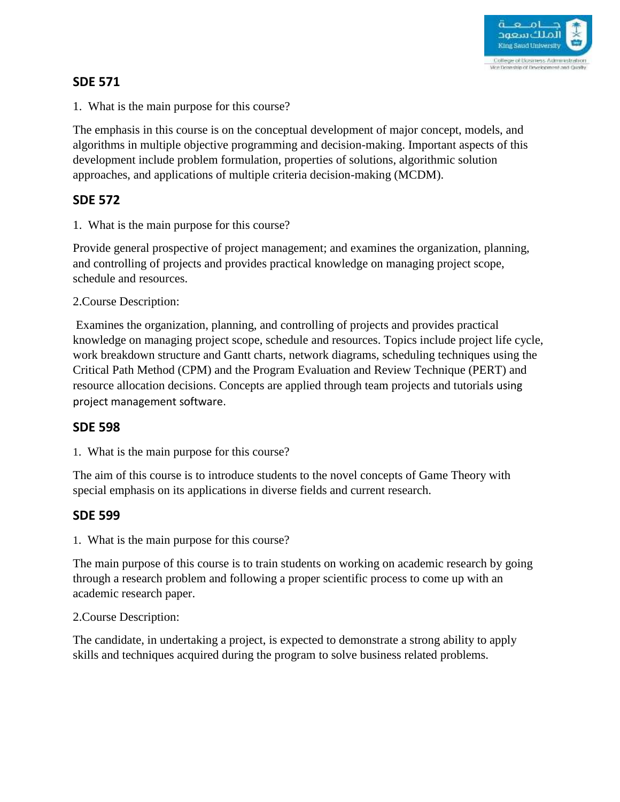

## **SDE 571**

1. What is the main purpose for this course?

The emphasis in this course is on the conceptual development of major concept, models, and algorithms in multiple objective programming and decision-making. Important aspects of this development include problem formulation, properties of solutions, algorithmic solution approaches, and applications of multiple criteria decision-making (MCDM).

## **SDE 572**

1. What is the main purpose for this course?

Provide general prospective of project management; and examines the organization, planning, and controlling of projects and provides practical knowledge on managing project scope, schedule and resources.

#### 2.Course Description:

Examines the organization, planning, and controlling of projects and provides practical knowledge on managing project scope, schedule and resources. Topics include project life cycle, work breakdown structure and Gantt charts, network diagrams, scheduling techniques using the Critical Path Method (CPM) and the Program Evaluation and Review Technique (PERT) and resource allocation decisions. Concepts are applied through team projects and tutorials using project management software.

### **SDE 598**

1. What is the main purpose for this course?

The aim of this course is to introduce students to the novel concepts of Game Theory with special emphasis on its applications in diverse fields and current research.

### **SDE 599**

1. What is the main purpose for this course?

The main purpose of this course is to train students on working on academic research by going through a research problem and following a proper scientific process to come up with an academic research paper.

### 2.Course Description:

The candidate, in undertaking a project, is expected to demonstrate a strong ability to apply skills and techniques acquired during the program to solve business related problems.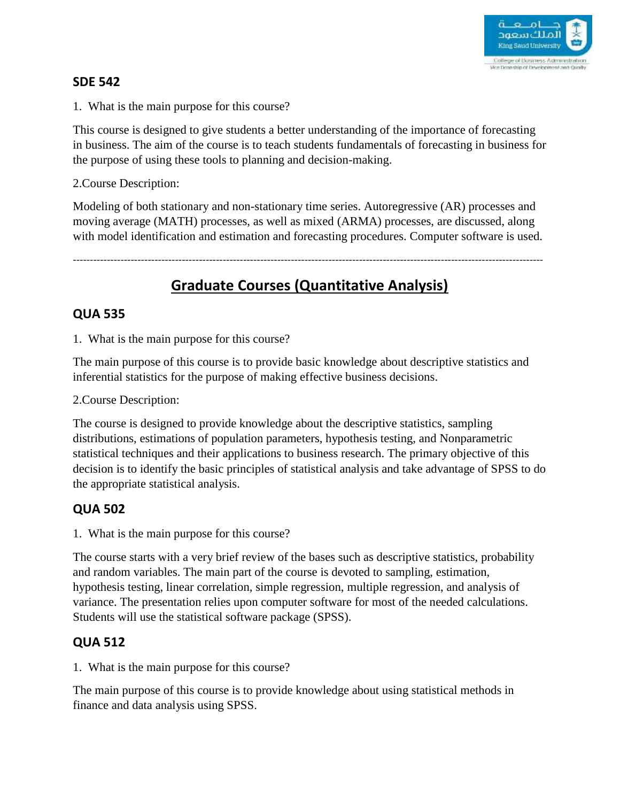

## **SDE 542**

1. What is the main purpose for this course?

This course is designed to give students a better understanding of the importance of forecasting in business. The aim of the course is to teach students fundamentals of forecasting in business for the purpose of using these tools to planning and decision-making.

2.Course Description:

Modeling of both stationary and non-stationary time series. Autoregressive (AR) processes and moving average (MATH) processes, as well as mixed (ARMA) processes, are discussed, along with model identification and estimation and forecasting procedures. Computer software is used.

------------------------------------------------------------------------------------------------------------------------------------------

# **Graduate Courses (Quantitative Analysis)**

## **QUA 535**

1. What is the main purpose for this course?

The main purpose of this course is to provide basic knowledge about descriptive statistics and inferential statistics for the purpose of making effective business decisions.

2.Course Description:

The course is designed to provide knowledge about the descriptive statistics, sampling distributions, estimations of population parameters, hypothesis testing, and Nonparametric statistical techniques and their applications to business research. The primary objective of this decision is to identify the basic principles of statistical analysis and take advantage of SPSS to do the appropriate statistical analysis.

# **QUA 502**

1. What is the main purpose for this course?

The course starts with a very brief review of the bases such as descriptive statistics, probability and random variables. The main part of the course is devoted to sampling, estimation, hypothesis testing, linear correlation, simple regression, multiple regression, and analysis of variance. The presentation relies upon computer software for most of the needed calculations. Students will use the statistical software package (SPSS).

## **QUA 512**

1. What is the main purpose for this course?

The main purpose of this course is to provide knowledge about using statistical methods in finance and data analysis using SPSS.